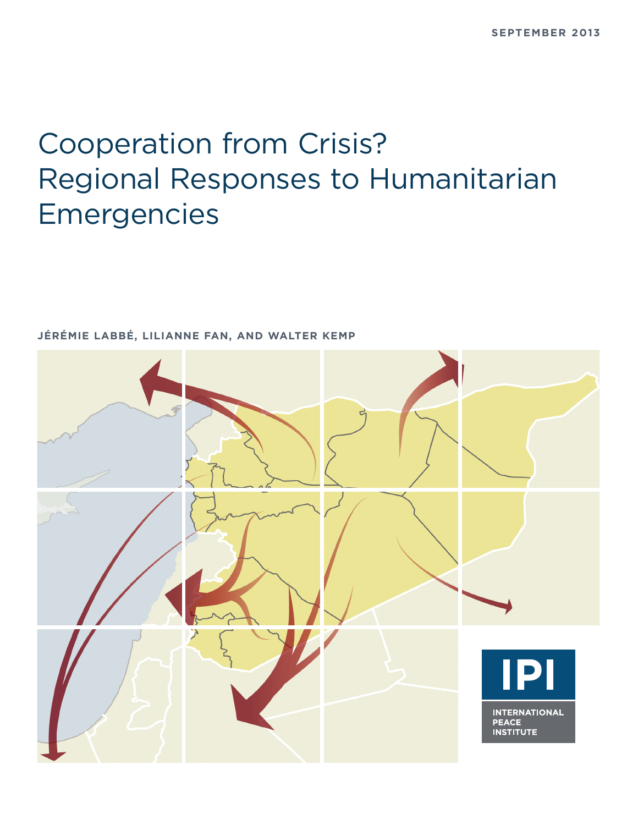# Cooperation from Crisis? Regional Responses to Humanitarian Emergencies



**JÉRÉMIE LABBÉ, LILIANNE FAN, AND WALTER KEMP**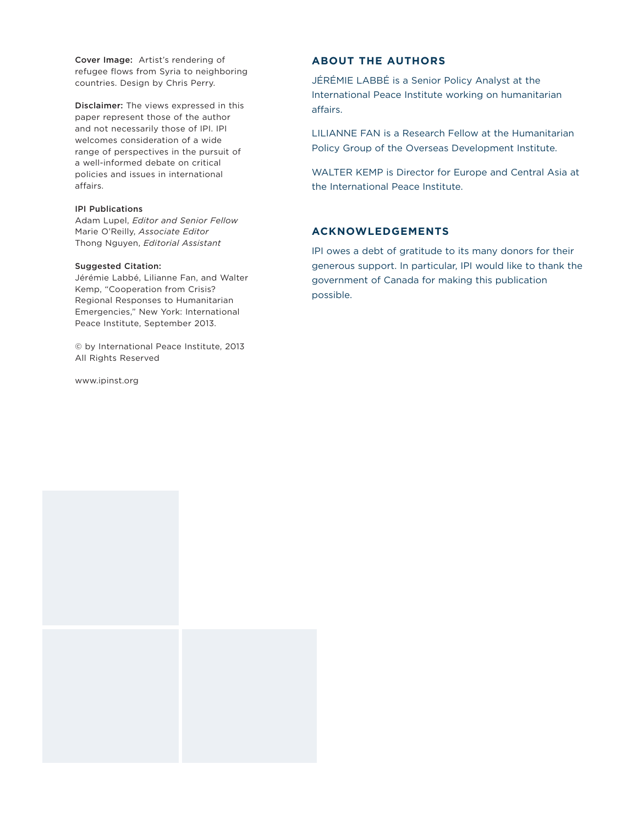**Cover Image:** Artist's rendering of refugee flows from Syria to neighboring countries. Design by Chris Perry.

**Disclaimer:** The views expressed in this paper represent those of the author and not necessarily those of IPI. IPI welcomes consideration of a wide range of perspectives in the pursuit of a well-informed debate on critical policies and issues in international affairs.

#### **IPI Publications**

Adam Lupel, *Editor and Senior Fellow* Marie O'Reilly, *Associate Editor* Thong Nguyen, *Editorial Assistant*

#### **Suggested Citation:**

Jérémie Labbé, Lilianne Fan, and Walter Kemp, "Cooperation from Crisis? Regional Responses to Humanitarian Emergencies," New York: International Peace Institute, September 2013.

© by International Peace Institute, 2013 All Rights Reserved

www.ipinst.org

#### **ABOUT THE AUTHORS**

JÉRÉMIE LABBÉ is a Senior Policy Analyst at the International Peace Institute working on humanitarian affairs.

LILIANNE FAN is a Research Fellow at the Humanitarian Policy Group of the Overseas Development Institute.

WALTER KEMP is Director for Europe and Central Asia at the International Peace Institute.

#### **ACKNOWLEDGEMENTS**

IPI owes a debt of gratitude to its many donors for their generous support. In particular, IPI would like to thank the government of Canada for making this publication possible.

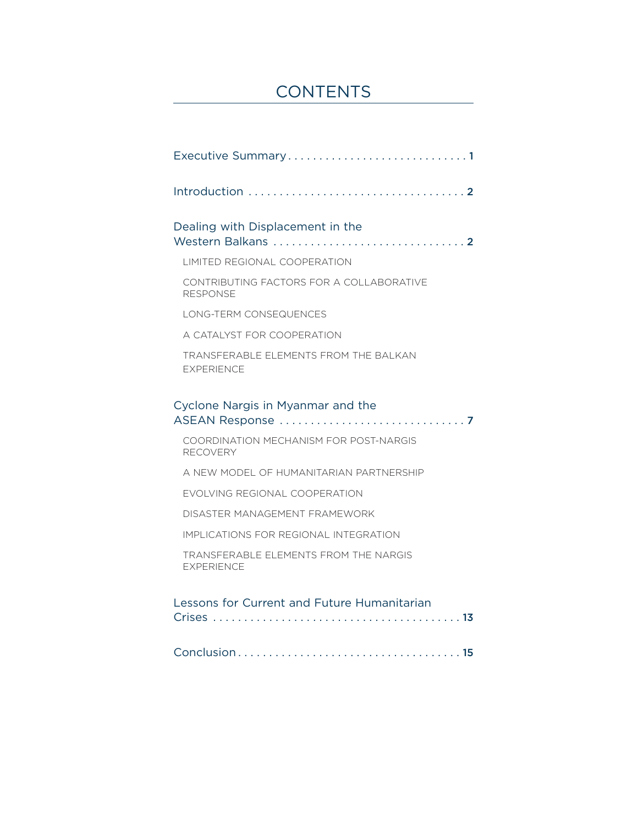# **CONTENTS**

| Executive Summary1                                                |
|-------------------------------------------------------------------|
|                                                                   |
| Dealing with Displacement in the                                  |
| LIMITED REGIONAL COOPERATION                                      |
| CONTRIBUTING FACTORS FOR A COLLABORATIVE<br><b>RESPONSE</b>       |
| LONG-TERM CONSEQUENCES                                            |
| A CATALYST FOR COOPERATION                                        |
| TRANSFERABLE ELEMENTS FROM THE BALKAN<br><b>EXPERIENCE</b>        |
| Cyclone Nargis in Myanmar and the                                 |
| COORDINATION MECHANISM FOR POST-NARGIS<br><b>RECOVERY</b>         |
| A NEW MODEL OF HUMANITARIAN PARTNERSHIP                           |
| EVOLVING REGIONAL COOPERATION                                     |
| DISASTER MANAGEMENT FRAMEWORK                                     |
| IMPLICATIONS FOR REGIONAL INTEGRATION                             |
| <b>TRANSFERABLE ELEMENTS FROM THE NARGIS</b><br><b>EXPERIENCE</b> |
| Lessons for Current and Future Humanitarian                       |
|                                                                   |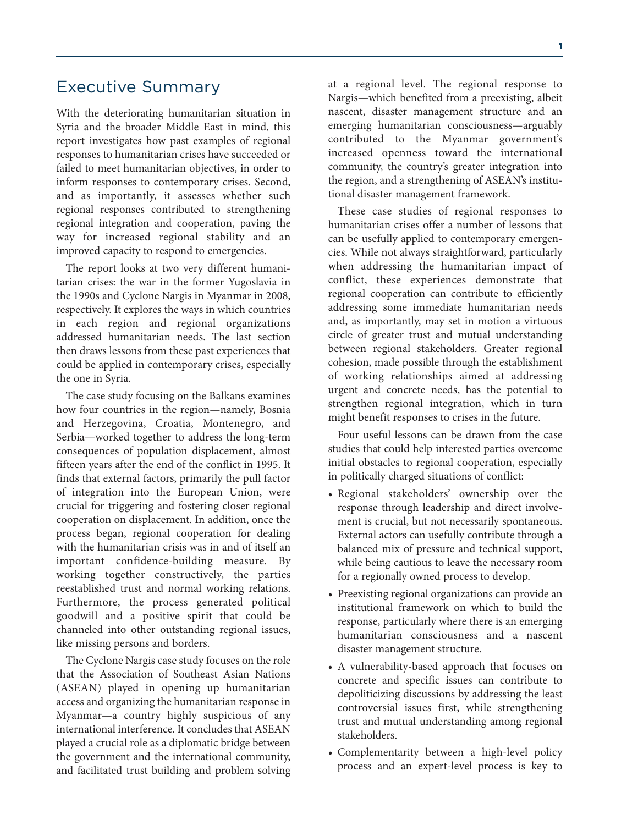# Executive Summary

With the deteriorating humanitarian situation in Syria and the broader Middle East in mind, this report investigates how past examples of regional responses to humanitarian crises have succeeded or failed to meet humanitarian objectives, in order to inform responses to contemporary crises. Second, and as importantly, it assesses whether such regional responses contributed to strengthening regional integration and cooperation, paving the way for increased regional stability and an improved capacity to respond to emergencies.

The report looks at two very different humanitarian crises: the war in the former Yugoslavia in the 1990s and Cyclone Nargis in Myanmar in 2008, respectively. It explores the ways in which countries in each region and regional organizations addressed humanitarian needs. The last section then draws lessons from these past experiences that could be applied in contemporary crises, especially the one in Syria.

The case study focusing on the Balkans examines how four countries in the region—namely, Bosnia and Herzegovina, Croatia, Montenegro, and Serbia—worked together to address the long-term consequences of population displacement, almost fifteen years after the end of the conflict in 1995. It finds that external factors, primarily the pull factor of integration into the European Union, were crucial for triggering and fostering closer regional cooperation on displacement. In addition, once the process began, regional cooperation for dealing with the humanitarian crisis was in and of itself an important confidence-building measure. By working together constructively, the parties reestablished trust and normal working relations. Furthermore, the process generated political goodwill and a positive spirit that could be channeled into other outstanding regional issues, like missing persons and borders.

The Cyclone Nargis case study focuses on the role that the Association of Southeast Asian Nations (ASEAN) played in opening up humanitarian access and organizing the humanitarian response in Myanmar—a country highly suspicious of any international interference. It concludes that ASEAN played a crucial role as a diplomatic bridge between the government and the international community, and facilitated trust building and problem solving at a regional level. The regional response to Nargis—which benefited from a preexisting, albeit nascent, disaster management structure and an emerging humanitarian consciousness—arguably contributed to the Myanmar government's increased openness toward the international community, the country's greater integration into the region, and a strengthening of ASEAN's institutional disaster management framework.

These case studies of regional responses to humanitarian crises offer a number of lessons that can be usefully applied to contemporary emergencies. While not always straightforward, particularly when addressing the humanitarian impact of conflict, these experiences demonstrate that regional cooperation can contribute to efficiently addressing some immediate humanitarian needs and, as importantly, may set in motion a virtuous circle of greater trust and mutual understanding between regional stakeholders. Greater regional cohesion, made possible through the establishment of working relationships aimed at addressing urgent and concrete needs, has the potential to strengthen regional integration, which in turn might benefit responses to crises in the future.

Four useful lessons can be drawn from the case studies that could help interested parties overcome initial obstacles to regional cooperation, especially in politically charged situations of conflict:

- Regional stakeholders' ownership over the response through leadership and direct involvement is crucial, but not necessarily spontaneous. External actors can usefully contribute through a balanced mix of pressure and technical support, while being cautious to leave the necessary room for a regionally owned process to develop.
- Preexisting regional organizations can provide an institutional framework on which to build the response, particularly where there is an emerging humanitarian consciousness and a nascent disaster management structure.
- A vulnerability-based approach that focuses on concrete and specific issues can contribute to depoliticizing discussions by addressing the least controversial issues first, while strengthening trust and mutual understanding among regional stakeholders.
- Complementarity between a high-level policy process and an expert-level process is key to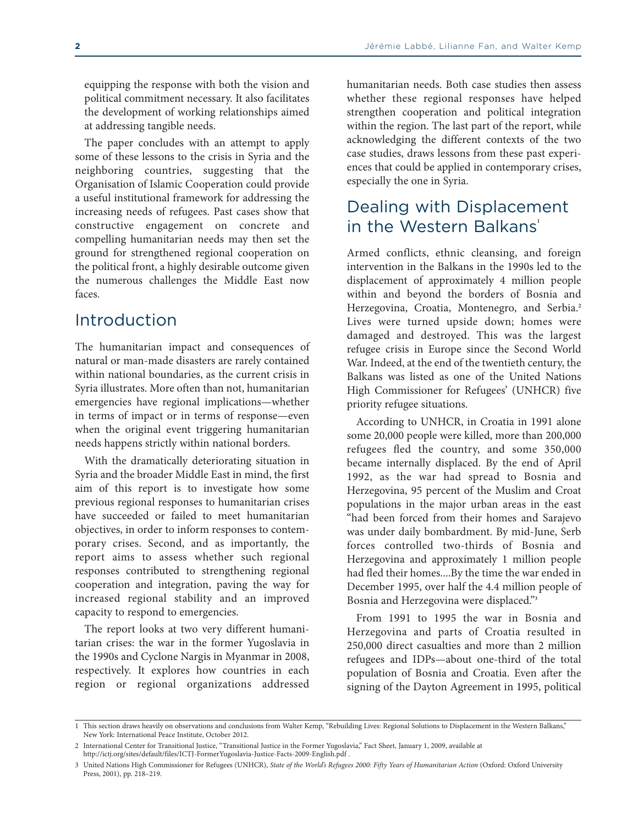equipping the response with both the vision and political commitment necessary. It also facilitates the development of working relationships aimed at addressing tangible needs.

The paper concludes with an attempt to apply some of these lessons to the crisis in Syria and the neighboring countries, suggesting that the Organisation of Islamic Cooperation could provide a useful institutional framework for addressing the increasing needs of refugees. Past cases show that constructive engagement on concrete and compelling humanitarian needs may then set the ground for strengthened regional cooperation on the political front, a highly desirable outcome given the numerous challenges the Middle East now faces.

### Introduction

The humanitarian impact and consequences of natural or man-made disasters are rarely contained within national boundaries, as the current crisis in Syria illustrates. More often than not, humanitarian emergencies have regional implications—whether in terms of impact or in terms of response—even when the original event triggering humanitarian needs happens strictly within national borders.

With the dramatically deteriorating situation in Syria and the broader Middle East in mind, the first aim of this report is to investigate how some previous regional responses to humanitarian crises have succeeded or failed to meet humanitarian objectives, in order to inform responses to contemporary crises. Second, and as importantly, the report aims to assess whether such regional responses contributed to strengthening regional cooperation and integration, paving the way for increased regional stability and an improved capacity to respond to emergencies.

The report looks at two very different humanitarian crises: the war in the former Yugoslavia in the 1990s and Cyclone Nargis in Myanmar in 2008, respectively. It explores how countries in each region or regional organizations addressed

humanitarian needs. Both case studies then assess whether these regional responses have helped strengthen cooperation and political integration within the region. The last part of the report, while acknowledging the different contexts of the two case studies, draws lessons from these past experiences that could be applied in contemporary crises, especially the one in Syria.

# Dealing with Displacement in the Western Balkans<sup>1</sup>

Armed conflicts, ethnic cleansing, and foreign intervention in the Balkans in the 1990s led to the displacement of approximately 4 million people within and beyond the borders of Bosnia and Herzegovina, Croatia, Montenegro, and Serbia. **2** Lives were turned upside down; homes were damaged and destroyed. This was the largest refugee crisis in Europe since the Second World War. Indeed, at the end of the twentieth century, the Balkans was listed as one of the United Nations High Commissioner for Refugees' (UNHCR) five priority refugee situations.

According to UNHCR, in Croatia in 1991 alone some 20,000 people were killed, more than 200,000 refugees fled the country, and some 350,000 became internally displaced. By the end of April 1992, as the war had spread to Bosnia and Herzegovina, 95 percent of the Muslim and Croat populations in the major urban areas in the east "had been forced from their homes and Sarajevo was under daily bombardment. By mid-June, Serb forces controlled two-thirds of Bosnia and Herzegovina and approximately 1 million people had fled their homes....By the time the war ended in December 1995, over half the 4.4 million people of Bosnia and Herzegovina were displaced."**<sup>3</sup>**

From 1991 to 1995 the war in Bosnia and Herzegovina and parts of Croatia resulted in 250,000 direct casualties and more than 2 million refugees and IDPs—about one-third of the total population of Bosnia and Croatia. Even after the signing of the Dayton Agreement in 1995, political

<sup>1</sup> This section draws heavily on observations and conclusions from Walter Kemp, "Rebuilding Lives: Regional Solutions to Displacement in the Western Balkans," New York: International Peace Institute, October 2012.

<sup>2</sup> International Center for Transitional Justice, "Transitional Justice in the Former Yugoslavia," Fact Sheet, January 1, 2009, available at <http://ictj.org/sites/default/files/ICTJ-FormerYugoslavia-Justice-Facts-2009-English.pdf> .

<sup>3</sup> United Nations High Commissioner for Refugees (UNHCR), State of the World's Refugees 2000: Fifty Years of Humanitarian Action (Oxford: Oxford University Press, 2001), pp. 218–219.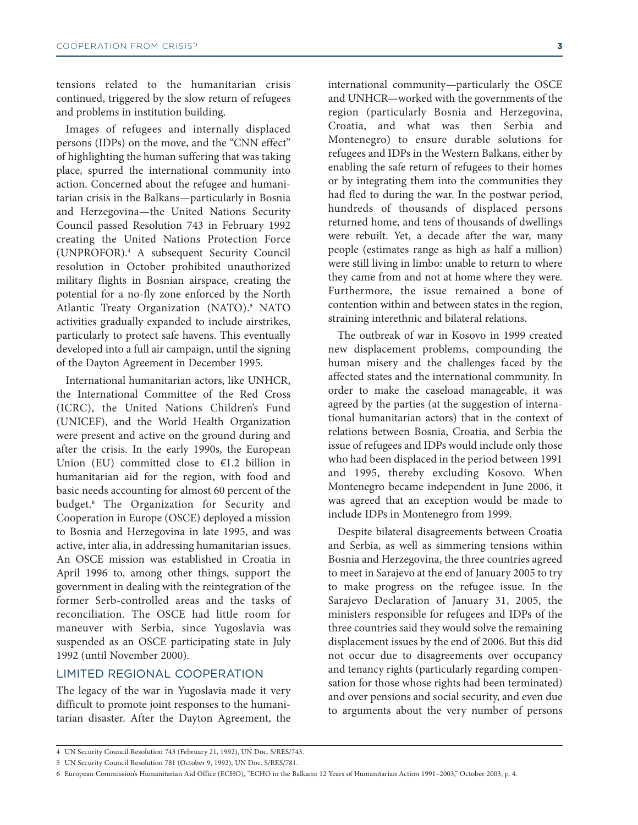tensions related to the humanitarian crisis continued, triggered by the slow return of refugees and problems in institution building.

Images of refugees and internally displaced persons (IDPs) on the move, and the "CNN effect" of highlighting the human suffering that was taking place, spurred the international community into action. Concerned about the refugee and humanitarian crisis in the Balkans—particularly in Bosnia and Herzegovina—the United Nations Security Council passed Resolution 743 in February 1992 creating the United Nations Protection Force (UNPROFOR). **<sup>4</sup>** A subsequent Security Council resolution in October prohibited unauthorized military flights in Bosnian airspace, creating the potential for a no-fly zone enforced by the North Atlantic Treaty Organization (NATO). **<sup>5</sup>** NATO activities gradually expanded to include airstrikes, particularly to protect safe havens. This eventually developed into a full air campaign, until the signing of the Dayton Agreement in December 1995.

International humanitarian actors, like UNHCR, the International Committee of the Red Cross (ICRC), the United Nations Children's Fund (UNICEF), and the World Health Organization were present and active on the ground during and after the crisis. In the early 1990s, the European Union (EU) committed close to  $\epsilon$ 1.2 billion in humanitarian aid for the region, with food and basic needs accounting for almost 60 percent of the budget. **<sup>6</sup>** The Organization for Security and Cooperation in Europe (OSCE) deployed a mission to Bosnia and Herzegovina in late 1995, and was active, inter alia, in addressing humanitarian issues. An OSCE mission was established in Croatia in April 1996 to, among other things, support the government in dealing with the reintegration of the former Serb-controlled areas and the tasks of reconciliation. The OSCE had little room for maneuver with Serbia, since Yugoslavia was suspended as an OSCE participating state in July 1992 (until November 2000).

#### LIMITED REGIONAL COOPERATION

The legacy of the war in Yugoslavia made it very difficult to promote joint responses to the humanitarian disaster. After the Dayton Agreement, the

international community—particularly the OSCE and UNHCR—worked with the governments of the region (particularly Bosnia and Herzegovina, Croatia, and what was then Serbia and Montenegro) to ensure durable solutions for refugees and IDPs in the Western Balkans, either by enabling the safe return of refugees to their homes or by integrating them into the communities they had fled to during the war. In the postwar period, hundreds of thousands of displaced persons returned home, and tens of thousands of dwellings were rebuilt. Yet, a decade after the war, many people (estimates range as high as half a million) were still living in limbo: unable to return to where they came from and not at home where they were. Furthermore, the issue remained a bone of contention within and between states in the region, straining interethnic and bilateral relations.

The outbreak of war in Kosovo in 1999 created new displacement problems, compounding the human misery and the challenges faced by the affected states and the international community. In order to make the caseload manageable, it was agreed by the parties (at the suggestion of international humanitarian actors) that in the context of relations between Bosnia, Croatia, and Serbia the issue of refugees and IDPs would include only those who had been displaced in the period between 1991 and 1995, thereby excluding Kosovo. When Montenegro became independent in June 2006, it was agreed that an exception would be made to include IDPs in Montenegro from 1999.

Despite bilateral disagreements between Croatia and Serbia, as well as simmering tensions within Bosnia and Herzegovina, the three countries agreed to meet in Sarajevo at the end of January 2005 to try to make progress on the refugee issue. In the Sarajevo Declaration of January 31, 2005, the ministers responsible for refugees and IDPs of the three countries said they would solve the remaining displacement issues by the end of 2006. But this did not occur due to disagreements over occupancy and tenancy rights (particularly regarding compensation for those whose rights had been terminated) and over pensions and social security, and even due to arguments about the very number of persons

<sup>4</sup> UN Security Council Resolution 743 (February 21, 1992), UN Doc. S/RES/743.

<sup>5</sup> UN Security Council Resolution 781 (October 9, 1992), UN Doc. S/RES/781.

<sup>6</sup> European Commission's Humanitarian Aid Office (ECHO), "ECHO in the Balkans: 12 Years of Humanitarian Action 1991–2003," October 2003, p. 4.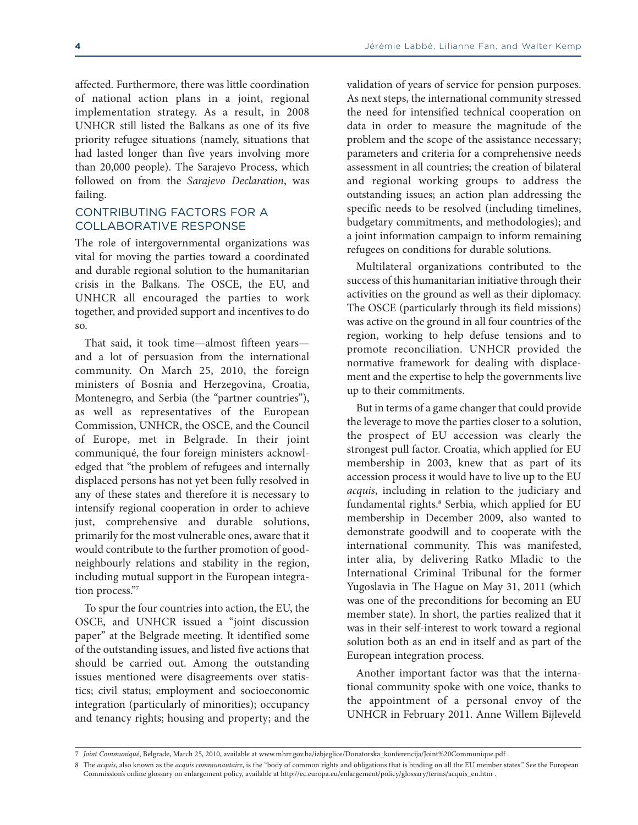affected. Furthermore, there was little coordination of national action plans in a joint, regional implementation strategy. As a result, in 2008 UNHCR still listed the Balkans as one of its five priority refugee situations (namely, situations that had lasted longer than five years involving more than 20,000 people). The Sarajevo Process, which followed on from the *Sarajevo Declaration*, was failing.

#### CONTRIBUTING FACTORS FOR A COLLABORATIVE RESPONSE

The role of intergovernmental organizations was vital for moving the parties toward a coordinated and durable regional solution to the humanitarian crisis in the Balkans. The OSCE, the EU, and UNHCR all encouraged the parties to work together, and provided support and incentives to do so.

That said, it took time—almost fifteen years and a lot of persuasion from the international community. On March 25, 2010, the foreign ministers of Bosnia and Herzegovina, Croatia, Montenegro, and Serbia (the "partner countries"), as well as representatives of the European Commission, UNHCR, the OSCE, and the Council of Europe, met in Belgrade. In their joint communiqué, the four foreign ministers acknowledged that "the problem of refugees and internally displaced persons has not yet been fully resolved in any of these states and therefore it is necessary to intensify regional cooperation in order to achieve just, comprehensive and durable solutions, primarily for the most vulnerable ones, aware that it would contribute to the further promotion of goodneighbourly relations and stability in the region, including mutual support in the European integration process."**<sup>7</sup>**

To spur the four countries into action, the EU, the OSCE, and UNHCR issued a "joint discussion paper" at the Belgrade meeting. It identified some of the outstanding issues, and listed five actions that should be carried out. Among the outstanding issues mentioned were disagreements over statistics; civil status; employment and socioeconomic integration (particularly of minorities); occupancy and tenancy rights; housing and property; and the

validation of years of service for pension purposes. As next steps, the international community stressed the need for intensified technical cooperation on data in order to measure the magnitude of the problem and the scope of the assistance necessary; parameters and criteria for a comprehensive needs assessment in all countries; the creation of bilateral and regional working groups to address the outstanding issues; an action plan addressing the specific needs to be resolved (including timelines, budgetary commitments, and methodologies); and a joint information campaign to inform remaining refugees on conditions for durable solutions.

Multilateral organizations contributed to the success of this humanitarian initiative through their activities on the ground as well as their diplomacy. The OSCE (particularly through its field missions) was active on the ground in all four countries of the region, working to help defuse tensions and to promote reconciliation. UNHCR provided the normative framework for dealing with displacement and the expertise to help the governments live up to their commitments.

But in terms of a game changer that could provide the leverage to move the parties closer to a solution, the prospect of EU accession was clearly the strongest pull factor. Croatia, which applied for EU membership in 2003, knew that as part of its accession process it would have to live up to the EU *acquis*, including in relation to the judiciary and fundamental rights. **<sup>8</sup>** Serbia, which applied for EU membership in December 2009, also wanted to demonstrate goodwill and to cooperate with the international community. This was manifested, inter alia, by delivering Ratko Mladic to the International Criminal Tribunal for the former Yugoslavia in The Hague on May 31, 2011 (which was one of the preconditions for becoming an EU member state). In short, the parties realized that it was in their self-interest to work toward a regional solution both as an end in itself and as part of the European integration process.

Another important factor was that the international community spoke with one voice, thanks to the appointment of a personal envoy of the UNHCR in February 2011. Anne Willem Bijleveld

<sup>7</sup> *Joint Communiqué*, Belgrade, March 25, 2010, available at [www.mhrr.gov.ba/izbjeglice/Donatorska\\_konferencija/Joint%20Communique.pdf](www.mhrr.gov.ba/izbjeglice/Donatorska_konferencija/Joint%20Communique.pdf) .

<sup>8</sup> The *acquis*, also known as the *acquis communautaire*, is the "body of common rights and obligations that is binding on all the EU member states." See the European Commission's online glossary on enlargement policy, available at [http://ec.europa.eu/enlargement/policy/glossary/terms/acquis\\_en.htm](http://ec.europa.eu/enlargement/policy/glossary/terms/acquis_en.htm) .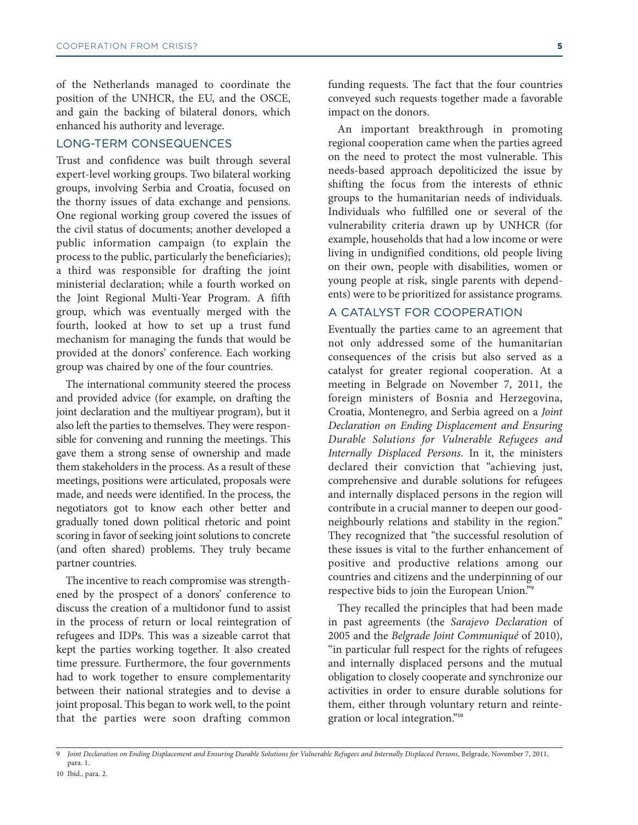of the Netherlands managed to coordinate the position of the UNHCR, the EU, and the OSCE, and gain the backing of bilateral donors, which enhanced his authority and leverage.

#### LONG-TERM CONSEQUENCES

Trust and confidence was built through several expert-level working groups. Two bilateral working groups, involving Serbia and Croatia, focused on the thorny issues of data exchange and pensions. One regional working group covered the issues of the civil status of documents; another developed a public information campaign (to explain the process to the public, particularly the beneficiaries); a third was responsible for drafting the joint ministerial declaration; while a fourth worked on the Joint Regional Multi-Year Program. A fifth group, which was eventually merged with the fourth, looked at how to set up a trust fund mechanism for managing the funds that would be provided at the donors' conference. Each working group was chaired by one of the four countries.

The international community steered the process and provided advice (for example, on drafting the joint declaration and the multiyear program), but it also left the parties to themselves. They were responsible for convening and running the meetings. This gave them a strong sense of ownership and made them stakeholders in the process. As a result of these meetings, positions were articulated, proposals were made, and needs were identified. In the process, the negotiators got to know each other better and gradually toned down political rhetoric and point scoring in favor of seeking joint solutions to concrete (and often shared) problems. They truly became partner countries.

The incentive to reach compromise was strengthened by the prospect of a donors' conference to discuss the creation of a multidonor fund to assist in the process of return or local reintegration of refugees and IDPs. This was a sizeable carrot that kept the parties working together. It also created time pressure. Furthermore, the four governments had to work together to ensure complementarity between their national strategies and to devise a joint proposal. This began to work well, to the point that the parties were soon drafting common

funding requests. The fact that the four countries conveyed such requests together made a favorable impact on the donors.

An important breakthrough in promoting regional cooperation came when the parties agreed on the need to protect the most vulnerable. This needs-based approach depoliticized the issue by shifting the focus from the interests of ethnic groups to the humanitarian needs of individuals. Individuals who fulfilled one or several of the vulnerability criteria drawn up by UNHCR (for example, households that had a low income or were living in undignified conditions, old people living on their own, people with disabilities, women or young people at risk, single parents with dependents) were to be prioritized for assistance programs.

#### A CATALYST FOR COOPERATION

Eventually the parties came to an agreement that not only addressed some of the humanitarian consequences of the crisis but also served as a catalyst for greater regional cooperation. At a meeting in Belgrade on November 7, 2011, the foreign ministers of Bosnia and Herzegovina, Croatia, Montenegro, and Serbia agreed on a *Joint Declaration on Ending Displacement and Ensuring Durable Solutions for Vulnerable Refugees and Internally Displaced Persons*. In it, the ministers declared their conviction that "achieving just, comprehensive and durable solutions for refugees and internally displaced persons in the region will contribute in a crucial manner to deepen our goodneighbourly relations and stability in the region." They recognized that "the successful resolution of these issues is vital to the further enhancement of positive and productive relations among our countries and citizens and the underpinning of our respective bids to join the European Union."**<sup>9</sup>**

They recalled the principles that had been made in past agreements (the *Sarajevo Declaration* of 2005 and the *Belgrade Joint Communiqué* of 2010), "in particular full respect for the rights of refugees and internally displaced persons and the mutual obligation to closely cooperate and synchronize our activities in order to ensure durable solutions for them, either through voluntary return and reintegration or local integration."**<sup>10</sup>**

Joint Declaration on Ending Displacement and Ensuring Durable Solutions for Vulnerable Refugees and Internally Displaced Persons, Belgrade, November 7, 2011, para. 1.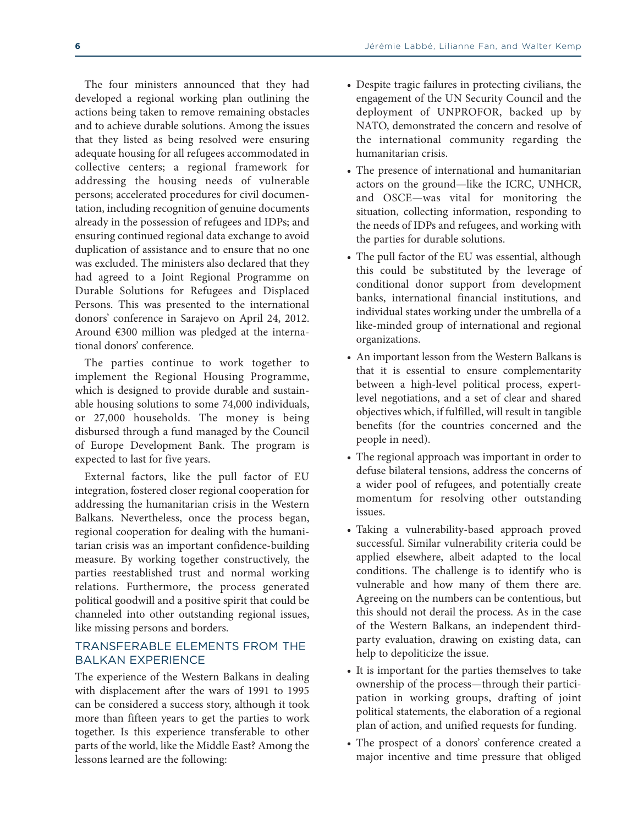The four ministers announced that they had developed a regional working plan outlining the actions being taken to remove remaining obstacles and to achieve durable solutions. Among the issues that they listed as being resolved were ensuring adequate housing for all refugees accommodated in collective centers; a regional framework for addressing the housing needs of vulnerable persons; accelerated procedures for civil documentation, including recognition of genuine documents already in the possession of refugees and IDPs; and ensuring continued regional data exchange to avoid duplication of assistance and to ensure that no one was excluded. The ministers also declared that they had agreed to a Joint Regional Programme on Durable Solutions for Refugees and Displaced Persons. This was presented to the international donors' conference in Sarajevo on April 24, 2012. Around €300 million was pledged at the international donors' conference.

The parties continue to work together to implement the Regional Housing Programme, which is designed to provide durable and sustainable housing solutions to some 74,000 individuals, or 27,000 households. The money is being disbursed through a fund managed by the Council of Europe Development Bank. The program is expected to last for five years.

External factors, like the pull factor of EU integration, fostered closer regional cooperation for addressing the humanitarian crisis in the Western Balkans. Nevertheless, once the process began, regional cooperation for dealing with the humanitarian crisis was an important confidence-building measure. By working together constructively, the parties reestablished trust and normal working relations. Furthermore, the process generated political goodwill and a positive spirit that could be channeled into other outstanding regional issues, like missing persons and borders.

#### TRANSFERABLE ELEMENTS FROM THE BALKAN EXPERIENCE

The experience of the Western Balkans in dealing with displacement after the wars of 1991 to 1995 can be considered a success story, although it took more than fifteen years to get the parties to work together. Is this experience transferable to other parts of the world, like the Middle East? Among the lessons learned are the following:

- Despite tragic failures in protecting civilians, the engagement of the UN Security Council and the deployment of UNPROFOR, backed up by NATO, demonstrated the concern and resolve of the international community regarding the humanitarian crisis.
- The presence of international and humanitarian actors on the ground—like the ICRC, UNHCR, and OSCE—was vital for monitoring the situation, collecting information, responding to the needs of IDPs and refugees, and working with the parties for durable solutions.
- The pull factor of the EU was essential, although this could be substituted by the leverage of conditional donor support from development banks, international financial institutions, and individual states working under the umbrella of a like-minded group of international and regional organizations.
- An important lesson from the Western Balkans is that it is essential to ensure complementarity between a high-level political process, expertlevel negotiations, and a set of clear and shared objectives which, if fulfilled, will result in tangible benefits (for the countries concerned and the people in need).
- The regional approach was important in order to defuse bilateral tensions, address the concerns of a wider pool of refugees, and potentially create momentum for resolving other outstanding issues.
- Taking a vulnerability-based approach proved successful. Similar vulnerability criteria could be applied elsewhere, albeit adapted to the local conditions. The challenge is to identify who is vulnerable and how many of them there are. Agreeing on the numbers can be contentious, but this should not derail the process. As in the case of the Western Balkans, an independent thirdparty evaluation, drawing on existing data, can help to depoliticize the issue.
- It is important for the parties themselves to take ownership of the process—through their participation in working groups, drafting of joint political statements, the elaboration of a regional plan of action, and unified requests for funding.
- The prospect of a donors' conference created a major incentive and time pressure that obliged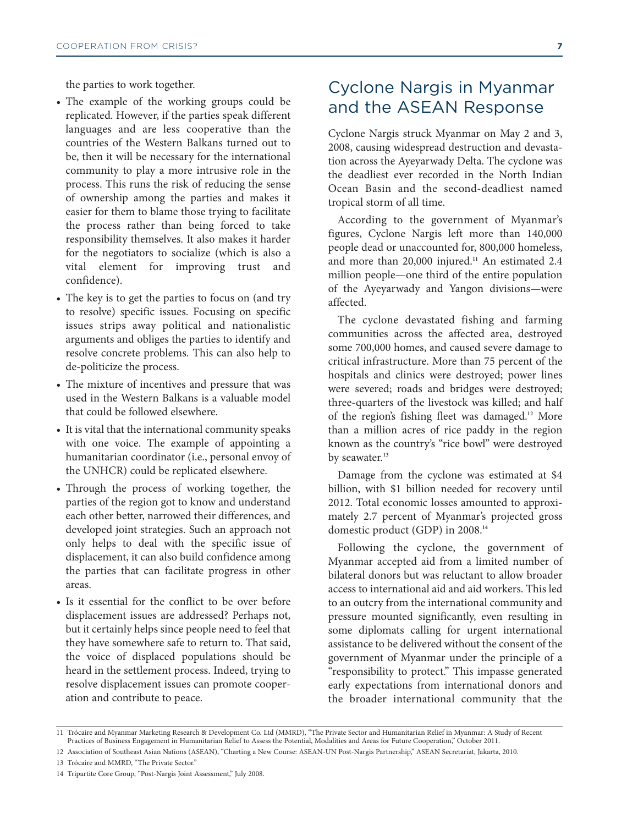the parties to work together.

- The example of the working groups could be replicated. However, if the parties speak different languages and are less cooperative than the countries of the Western Balkans turned out to be, then it will be necessary for the international community to play a more intrusive role in the process. This runs the risk of reducing the sense of ownership among the parties and makes it easier for them to blame those trying to facilitate the process rather than being forced to take responsibility themselves. It also makes it harder for the negotiators to socialize (which is also a vital element for improving trust and confidence).
- The key is to get the parties to focus on (and try to resolve) specific issues. Focusing on specific issues strips away political and nationalistic arguments and obliges the parties to identify and resolve concrete problems. This can also help to de-politicize the process.
- The mixture of incentives and pressure that was used in the Western Balkans is a valuable model that could be followed elsewhere.
- It is vital that the international community speaks with one voice. The example of appointing a humanitarian coordinator (i.e., personal envoy of the UNHCR) could be replicated elsewhere.
- Through the process of working together, the parties of the region got to know and understand each other better, narrowed their differences, and developed joint strategies. Such an approach not only helps to deal with the specific issue of displacement, it can also build confidence among the parties that can facilitate progress in other areas.
- Is it essential for the conflict to be over before displacement issues are addressed? Perhaps not, but it certainly helps since people need to feel that they have somewhere safe to return to. That said, the voice of displaced populations should be heard in the settlement process. Indeed, trying to resolve displacement issues can promote cooperation and contribute to peace.

# Cyclone Nargis in Myanmar and the ASEAN Response

Cyclone Nargis struck Myanmar on May 2 and 3, 2008, causing widespread destruction and devastation across the Ayeyarwady Delta. The cyclone was the deadliest ever recorded in the North Indian Ocean Basin and the second-deadliest named tropical storm of all time.

According to the government of Myanmar's figures, Cyclone Nargis left more than 140,000 people dead or unaccounted for, 800,000 homeless, and more than 20,000 injured. **<sup>11</sup>** An estimated 2.4 million people—one third of the entire population of the Ayeyarwady and Yangon divisions—were affected.

The cyclone devastated fishing and farming communities across the affected area, destroyed some 700,000 homes, and caused severe damage to critical infrastructure. More than 75 percent of the hospitals and clinics were destroyed; power lines were severed; roads and bridges were destroyed; three-quarters of the livestock was killed; and half of the region's fishing fleet was damaged. **<sup>12</sup>** More than a million acres of rice paddy in the region known as the country's "rice bowl" were destroyed by seawater. **13**

Damage from the cyclone was estimated at \$4 billion, with \$1 billion needed for recovery until 2012. Total economic losses amounted to approximately 2.7 percent of Myanmar's projected gross domestic product (GDP) in 2008. **14**

Following the cyclone, the government of Myanmar accepted aid from a limited number of bilateral donors but was reluctant to allow broader access to international aid and aid workers. This led to an outcry from the international community and pressure mounted significantly, even resulting in some diplomats calling for urgent international assistance to be delivered without the consent of the government of Myanmar under the principle of a "responsibility to protect." This impasse generated early expectations from international donors and the broader international community that the

13 Trócaire and MMRD, "The Private Sector."

<sup>11</sup> Trócaire and Myanmar Marketing Research & Development Co. Ltd (MMRD), "The Private Sector and Humanitarian Relief in Myanmar: A Study of Recent Practices of Business Engagement in Humanitarian Relief to Assess the Potential, Modalities and Areas for Future Cooperation," October 2011.

<sup>12</sup> Association of Southeast Asian Nations (ASEAN), "Charting a New Course: ASEAN-UN Post-Nargis Partnership," ASEAN Secretariat, Jakarta, 2010.

<sup>14</sup> Tripartite Core Group, "Post-Nargis Joint Assessment," July 2008.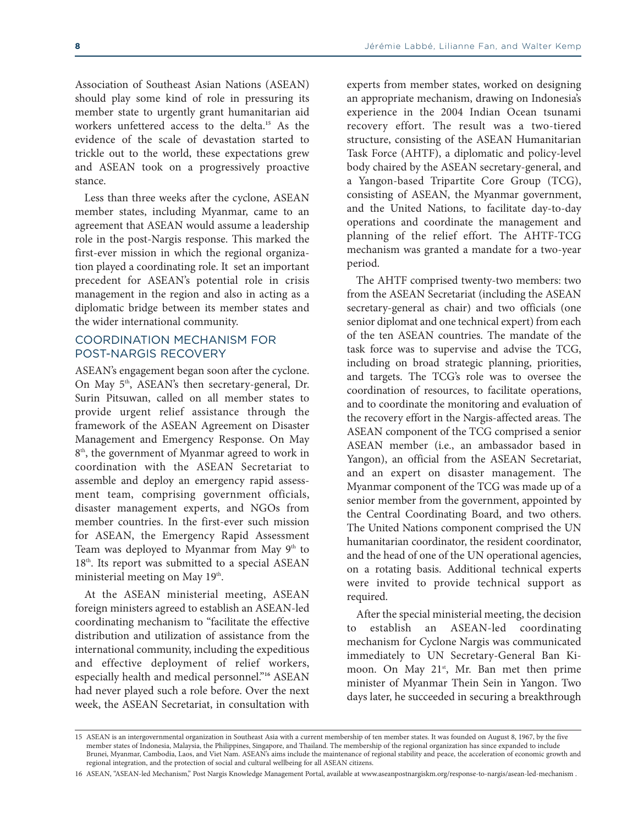Association of Southeast Asian Nations (ASEAN) should play some kind of role in pressuring its member state to urgently grant humanitarian aid workers unfettered access to the delta. **<sup>15</sup>** As the evidence of the scale of devastation started to trickle out to the world, these expectations grew and ASEAN took on a progressively proactive stance.

Less than three weeks after the cyclone, ASEAN member states, including Myanmar, came to an agreement that ASEAN would assume a leadership role in the post-Nargis response. This marked the first-ever mission in which the regional organization played a coordinating role. It set an important precedent for ASEAN's potential role in crisis management in the region and also in acting as a diplomatic bridge between its member states and the wider international community.

#### COORDINATION MECHANISM FOR POST-NARGIS RECOVERY

ASEAN's engagement began soon after the cyclone. On May 5<sup>th</sup>, ASEAN's then secretary-general, Dr. Surin Pitsuwan, called on all member states to provide urgent relief assistance through the framework of the ASEAN Agreement on Disaster Management and Emergency Response. On May 8<sup>th</sup>, the government of Myanmar agreed to work in coordination with the ASEAN Secretariat to assemble and deploy an emergency rapid assessment team, comprising government officials, disaster management experts, and NGOs from member countries. In the first-ever such mission for ASEAN, the Emergency Rapid Assessment Team was deployed to Myanmar from May  $9<sup>th</sup>$  to 18<sup>th</sup>. Its report was submitted to a special ASEAN ministerial meeting on May 19<sup>th</sup>.

At the ASEAN ministerial meeting, ASEAN foreign ministers agreed to establish an ASEAN-led coordinating mechanism to "facilitate the effective distribution and utilization of assistance from the international community, including the expeditious and effective deployment of relief workers, especially health and medical personnel."**<sup>16</sup>** ASEAN had never played such a role before. Over the next week, the ASEAN Secretariat, in consultation with

experts from member states, worked on designing an appropriate mechanism, drawing on Indonesia's experience in the 2004 Indian Ocean tsunami recovery effort. The result was a two-tiered structure, consisting of the ASEAN Humanitarian Task Force (AHTF), a diplomatic and policy-level body chaired by the ASEAN secretary-general, and a Yangon-based Tripartite Core Group (TCG), consisting of ASEAN, the Myanmar government, and the United Nations, to facilitate day-to-day operations and coordinate the management and planning of the relief effort. The AHTF-TCG mechanism was granted a mandate for a two-year period.

The AHTF comprised twenty-two members: two from the ASEAN Secretariat (including the ASEAN secretary-general as chair) and two officials (one senior diplomat and one technical expert) from each of the ten ASEAN countries. The mandate of the task force was to supervise and advise the TCG, including on broad strategic planning, priorities, and targets. The TCG's role was to oversee the coordination of resources, to facilitate operations, and to coordinate the monitoring and evaluation of the recovery effort in the Nargis-affected areas. The ASEAN component of the TCG comprised a senior ASEAN member (i.e., an ambassador based in Yangon), an official from the ASEAN Secretariat, and an expert on disaster management. The Myanmar component of the TCG was made up of a senior member from the government, appointed by the Central Coordinating Board, and two others. The United Nations component comprised the UN humanitarian coordinator, the resident coordinator, and the head of one of the UN operational agencies, on a rotating basis. Additional technical experts were invited to provide technical support as required.

After the special ministerial meeting, the decision to establish an ASEAN-led coordinating mechanism for Cyclone Nargis was communicated immediately to UN Secretary-General Ban Kimoon. On May 21<sup>st</sup>, Mr. Ban met then prime minister of Myanmar Thein Sein in Yangon. Two days later, he succeeded in securing a breakthrough

<sup>15</sup> ASEAN is an intergovernmental organization in Southeast Asia with a current membership of ten member states. It was founded on August 8, 1967, by the five member states of Indonesia, Malaysia, the Philippines, Singapore, and Thailand. The membership of the regional organization has since expanded to include Brunei, Myanmar, Cambodia, Laos, and Viet Nam. ASEAN's aims include the maintenance of regional stability and peace, the acceleration of economic growth and regional integration, and the protection of social and cultural wellbeing for all ASEAN citizens.

<sup>16</sup> ASEAN, "ASEAN-led Mechanism," Post Nargis Knowledge Management Portal, available at <www.aseanpostnargiskm.org/response-to-nargis/asean-led-mechanism> .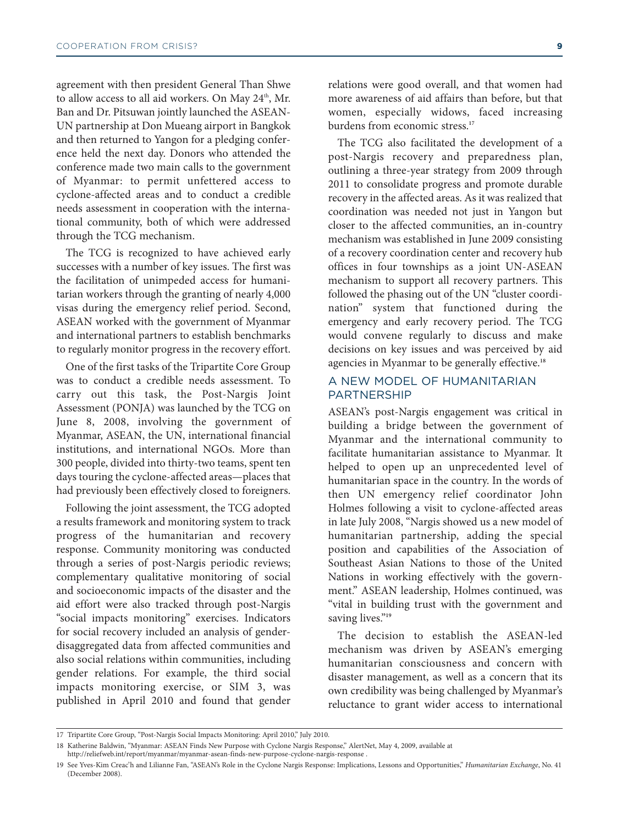agreement with then president General Than Shwe to allow access to all aid workers. On May 24<sup>th</sup>, Mr. Ban and Dr. Pitsuwan jointly launched the ASEAN-UN partnership at Don Mueang airport in Bangkok and then returned to Yangon for a pledging conference held the next day. Donors who attended the conference made two main calls to the government of Myanmar: to permit unfettered access to cyclone-affected areas and to conduct a credible needs assessment in cooperation with the international community, both of which were addressed through the TCG mechanism.

The TCG is recognized to have achieved early successes with a number of key issues. The first was the facilitation of unimpeded access for humanitarian workers through the granting of nearly 4,000 visas during the emergency relief period. Second, ASEAN worked with the government of Myanmar and international partners to establish benchmarks to regularly monitor progress in the recovery effort.

One of the first tasks of the Tripartite Core Group was to conduct a credible needs assessment. To carry out this task, the Post-Nargis Joint Assessment (PONJA) was launched by the TCG on June 8, 2008, involving the government of Myanmar, ASEAN, the UN, international financial institutions, and international NGOs. More than 300 people, divided into thirty-two teams, spent ten days touring the cyclone-affected areas—places that had previously been effectively closed to foreigners.

Following the joint assessment, the TCG adopted a results framework and monitoring system to track progress of the humanitarian and recovery response. Community monitoring was conducted through a series of post-Nargis periodic reviews; complementary qualitative monitoring of social and socioeconomic impacts of the disaster and the aid effort were also tracked through post-Nargis "social impacts monitoring" exercises. Indicators for social recovery included an analysis of genderdisaggregated data from affected communities and also social relations within communities, including gender relations. For example, the third social impacts monitoring exercise, or SIM 3, was published in April 2010 and found that gender

relations were good overall, and that women had more awareness of aid affairs than before, but that women, especially widows, faced increasing burdens from economic stress. **17**

The TCG also facilitated the development of a post‐Nargis recovery and preparedness plan, outlining a three-year strategy from 2009 through 2011 to consolidate progress and promote durable recovery in the affected areas. As it was realized that coordination was needed not just in Yangon but closer to the affected communities, an in-country mechanism was established in June 2009 consisting of a recovery coordination center and recovery hub offices in four townships as a joint UN-ASEAN mechanism to support all recovery partners. This followed the phasing out of the UN "cluster coordination" system that functioned during the emergency and early recovery period. The TCG would convene regularly to discuss and make decisions on key issues and was perceived by aid agencies in Myanmar to be generally effective. **18**

#### A NEW MODEL OF HUMANITARIAN PARTNERSHIP

ASEAN's post-Nargis engagement was critical in building a bridge between the government of Myanmar and the international community to facilitate humanitarian assistance to Myanmar. It helped to open up an unprecedented level of humanitarian space in the country. In the words of then UN emergency relief coordinator John Holmes following a visit to cyclone-affected areas in late July 2008, "Nargis showed us a new model of humanitarian partnership, adding the special position and capabilities of the Association of Southeast Asian Nations to those of the United Nations in working effectively with the government." ASEAN leadership, Holmes continued, was "vital in building trust with the government and saving lives."<sup>19</sup>

The decision to establish the ASEAN-led mechanism was driven by ASEAN's emerging humanitarian consciousness and concern with disaster management, as well as a concern that its own credibility was being challenged by Myanmar's reluctance to grant wider access to international

<sup>17</sup> Tripartite Core Group, "Post-Nargis Social Impacts Monitoring: April 2010," July 2010.

<sup>18</sup> Katherine Baldwin, "Myanmar: ASEAN Finds New Purpose with Cyclone Nargis Response," AlertNet, May 4, 2009, available at

<http://reliefweb.int/report/myanmar/myanmar-asean-finds-new-purpose-cyclone-nargis-response> .

<sup>19</sup> See Yves-Kim Creac'h and Lilianne Fan, "ASEAN's Role in the Cyclone Nargis Response: Implications, Lessons and Opportunities," *Humanitarian Exchange*, No. 41 (December 2008).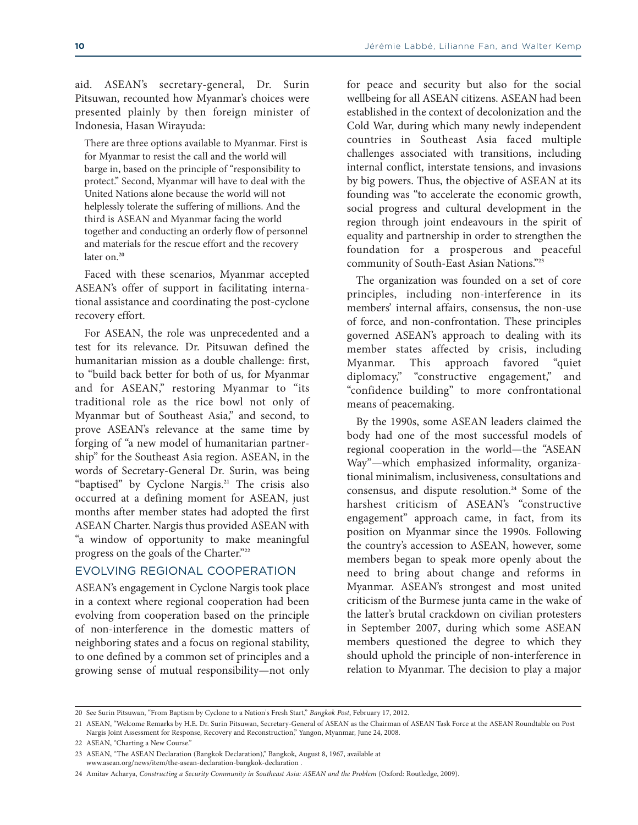aid. ASEAN's secretary-general, Dr. Surin Pitsuwan, recounted how Myanmar's choices were presented plainly by then foreign minister of Indonesia, Hasan Wirayuda:

There are three options available to Myanmar. First is for Myanmar to resist the call and the world will barge in, based on the principle of "responsibility to protect." Second, Myanmar will have to deal with the United Nations alone because the world will not helplessly tolerate the suffering of millions. And the third is ASEAN and Myanmar facing the world together and conducting an orderly flow of personnel and materials for the rescue effort and the recovery later on. **20**

Faced with these scenarios, Myanmar accepted ASEAN's offer of support in facilitating international assistance and coordinating the post-cyclone recovery effort.

For ASEAN, the role was unprecedented and a test for its relevance. Dr. Pitsuwan defined the humanitarian mission as a double challenge: first, to "build back better for both of us, for Myanmar and for ASEAN," restoring Myanmar to "its traditional role as the rice bowl not only of Myanmar but of Southeast Asia," and second, to prove ASEAN's relevance at the same time by forging of "a new model of humanitarian partnership" for the Southeast Asia region. ASEAN, in the words of Secretary-General Dr. Surin, was being "baptised" by Cyclone Nargis. **<sup>21</sup>** The crisis also occurred at a defining moment for ASEAN, just months after member states had adopted the first ASEAN Charter. Nargis thus provided ASEAN with "a window of opportunity to make meaningful progress on the goals of the Charter."**<sup>22</sup>**

#### EVOLVING REGIONAL COOPERATION

ASEAN's engagement in Cyclone Nargis took place in a context where regional cooperation had been evolving from cooperation based on the principle of non-interference in the domestic matters of neighboring states and a focus on regional stability, to one defined by a common set of principles and a growing sense of mutual responsibility—not only for peace and security but also for the social wellbeing for all ASEAN citizens. ASEAN had been established in the context of decolonization and the Cold War, during which many newly independent countries in Southeast Asia faced multiple challenges associated with transitions, including internal conflict, interstate tensions, and invasions by big powers. Thus, the objective of ASEAN at its founding was "to accelerate the economic growth, social progress and cultural development in the region through joint endeavours in the spirit of equality and partnership in order to strengthen the foundation for a prosperous and peaceful community of South-East Asian Nations."**<sup>23</sup>**

The organization was founded on a set of core principles, including non-interference in its members' internal affairs, consensus, the non-use of force, and non-confrontation. These principles governed ASEAN's approach to dealing with its member states affected by crisis, including Myanmar. This approach favored "quiet diplomacy," "constructive engagement," and "confidence building" to more confrontational means of peacemaking.

By the 1990s, some ASEAN leaders claimed the body had one of the most successful models of regional cooperation in the world—the "ASEAN Way"—which emphasized informality, organizational minimalism, inclusiveness, consultations and consensus, and dispute resolution. **<sup>24</sup>** Some of the harshest criticism of ASEAN's "constructive engagement" approach came, in fact, from its position on Myanmar since the 1990s. Following the country's accession to ASEAN, however, some members began to speak more openly about the need to bring about change and reforms in Myanmar. ASEAN's strongest and most united criticism of the Burmese junta came in the wake of the latter's brutal crackdown on civilian protesters in September 2007, during which some ASEAN members questioned the degree to which they should uphold the principle of non-interference in relation to Myanmar. The decision to play a major

<sup>20</sup> See Surin Pitsuwan, "From Baptism by Cyclone to a Nation's Fresh Start," *Bangkok Post*, February 17, 2012.

<sup>21</sup> ASEAN, "Welcome Remarks by H.E. Dr. Surin Pitsuwan, Secretary-General of ASEAN as the Chairman of ASEAN Task Force at the ASEAN Roundtable on Post Nargis Joint Assessment for Response, Recovery and Reconstruction," Yangon, Myanmar, June 24, 2008.

<sup>22</sup> ASEAN, "Charting a New Course."

<sup>23</sup> ASEAN, "The ASEAN Declaration (Bangkok Declaration)," Bangkok, August 8, 1967, available at <www.asean.org/news/item/the-asean-declaration-bangkok-declaration> .

<sup>24</sup> Amitav Acharya, *Constructing a Security Community in Southeast Asia: ASEAN and the Problem* (Oxford: Routledge, 2009).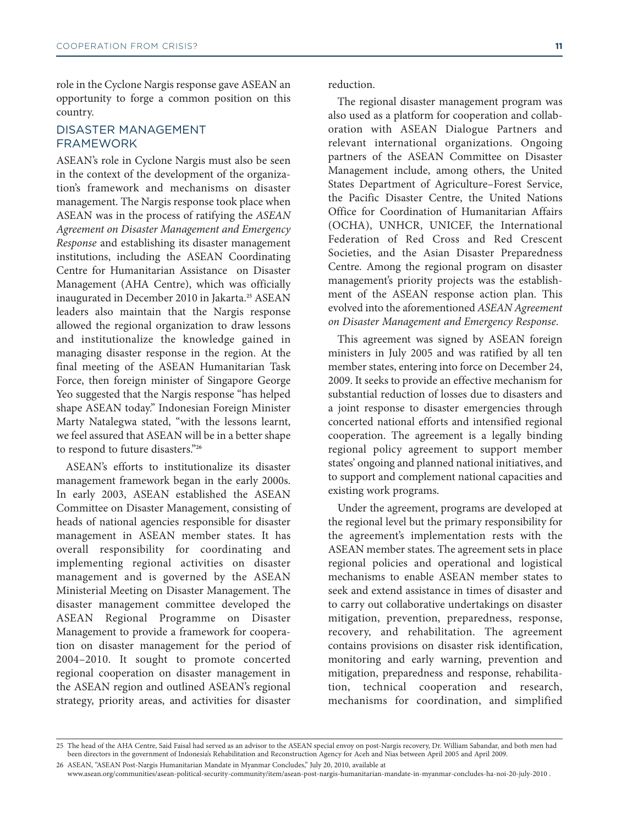role in the Cyclone Nargis response gave ASEAN an opportunity to forge a common position on this country.

#### DISASTER MANAGEMENT FRAMEWORK

ASEAN's role in Cyclone Nargis must also be seen in the context of the development of the organization's framework and mechanisms on disaster management. The Nargis response took place when ASEAN was in the process of ratifying the *ASEAN Agreement on Disaster Management and Emergency Response* and establishing its disaster management institutions, including the ASEAN Coordinating Centre for Humanitarian Assistance on Disaster Management (AHA Centre), which was officially inaugurated in December 2010 in Jakarta. **<sup>25</sup>** ASEAN leaders also maintain that the Nargis response allowed the regional organization to draw lessons and institutionalize the knowledge gained in managing disaster response in the region. At the final meeting of the ASEAN Humanitarian Task Force, then foreign minister of Singapore George Yeo suggested that the Nargis response "has helped shape ASEAN today." Indonesian Foreign Minister Marty Natalegwa stated, "with the lessons learnt, we feel assured that ASEAN will be in a better shape to respond to future disasters."**<sup>26</sup>**

ASEAN's efforts to institutionalize its disaster management framework began in the early 2000s. In early 2003, ASEAN established the ASEAN Committee on Disaster Management, consisting of heads of national agencies responsible for disaster management in ASEAN member states. It has overall responsibility for coordinating and implementing regional activities on disaster management and is governed by the ASEAN Ministerial Meeting on Disaster Management. The disaster management committee developed the ASEAN Regional Programme on Disaster Management to provide a framework for cooperation on disaster management for the period of 2004–2010. It sought to promote concerted regional cooperation on disaster management in the ASEAN region and outlined ASEAN's regional strategy, priority areas, and activities for disaster

reduction.

The regional disaster management program was also used as a platform for cooperation and collaboration with ASEAN Dialogue Partners and relevant international organizations. Ongoing partners of the ASEAN Committee on Disaster Management include, among others, the United States Department of Agriculture–Forest Service, the Pacific Disaster Centre, the United Nations Office for Coordination of Humanitarian Affairs (OCHA), UNHCR, UNICEF, the International Federation of Red Cross and Red Crescent Societies, and the Asian Disaster Preparedness Centre. Among the regional program on disaster management's priority projects was the establishment of the ASEAN response action plan. This evolved into the aforementioned *ASEAN Agreement on Disaster Management and Emergency Response*.

This agreement was signed by ASEAN foreign ministers in July 2005 and was ratified by all ten member states, entering into force on December 24, 2009. It seeks to provide an effective mechanism for substantial reduction of losses due to disasters and a joint response to disaster emergencies through concerted national efforts and intensified regional cooperation. The agreement is a legally binding regional policy agreement to support member states' ongoing and planned national initiatives, and to support and complement national capacities and existing work programs.

Under the agreement, programs are developed at the regional level but the primary responsibility for the agreement's implementation rests with the ASEAN member states. The agreement sets in place regional policies and operational and logistical mechanisms to enable ASEAN member states to seek and extend assistance in times of disaster and to carry out collaborative undertakings on disaster mitigation, prevention, preparedness, response, recovery, and rehabilitation. The agreement contains provisions on disaster risk identification, monitoring and early warning, prevention and mitigation, preparedness and response, rehabilitation, technical cooperation and research, mechanisms for coordination, and simplified

<sup>25</sup> The head of the AHA Centre, Said Faisal had served as an advisor to the ASEAN special envoy on post-Nargis recovery, Dr. William Sabandar, and both men had been directors in the government of Indonesia's Rehabilitation and Reconstruction Agency for Aceh and Nias between April 2005 and April 2009.

<sup>26</sup> ASEAN, "ASEAN Post-Nargis Humanitarian Mandate in Myanmar Concludes," July 20, 2010, available at <www.asean.org/communities/asean-political-security-community/item/asean-post-nargis-humanitarian-mandate-in-myanmar-concludes-ha-noi-20-july-2010> .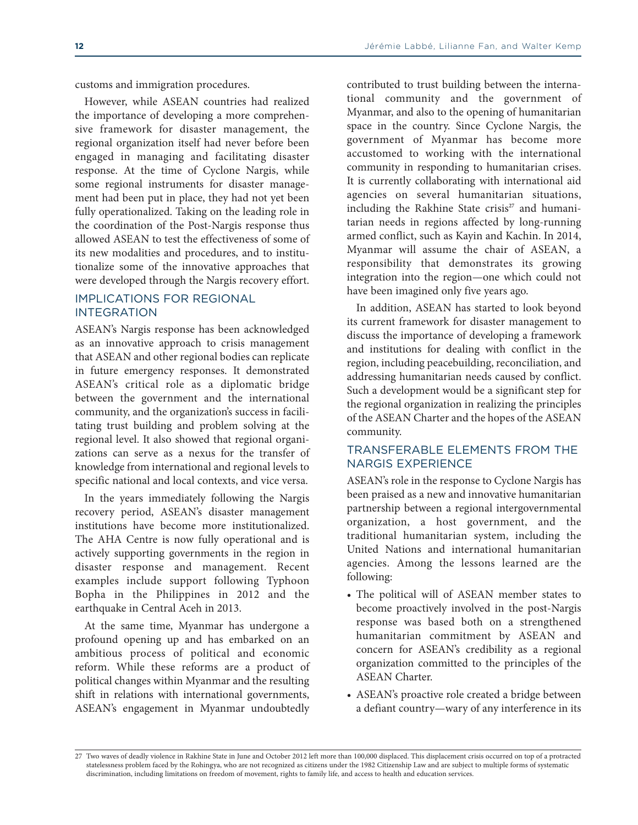customs and immigration procedures.

However, while ASEAN countries had realized the importance of developing a more comprehensive framework for disaster management, the regional organization itself had never before been engaged in managing and facilitating disaster response. At the time of Cyclone Nargis, while some regional instruments for disaster management had been put in place, they had not yet been fully operationalized. Taking on the leading role in the coordination of the Post-Nargis response thus allowed ASEAN to test the effectiveness of some of its new modalities and procedures, and to institutionalize some of the innovative approaches that were developed through the Nargis recovery effort.

#### IMPLICATIONS FOR REGIONAL INTEGRATION

ASEAN's Nargis response has been acknowledged as an innovative approach to crisis management that ASEAN and other regional bodies can replicate in future emergency responses. It demonstrated ASEAN's critical role as a diplomatic bridge between the government and the international community, and the organization's success in facilitating trust building and problem solving at the regional level. It also showed that regional organizations can serve as a nexus for the transfer of knowledge from international and regional levels to specific national and local contexts, and vice versa.

In the years immediately following the Nargis recovery period, ASEAN's disaster management institutions have become more institutionalized. The AHA Centre is now fully operational and is actively supporting governments in the region in disaster response and management. Recent examples include support following Typhoon Bopha in the Philippines in 2012 and the earthquake in Central Aceh in 2013.

At the same time, Myanmar has undergone a profound opening up and has embarked on an ambitious process of political and economic reform. While these reforms are a product of political changes within Myanmar and the resulting shift in relations with international governments, ASEAN's engagement in Myanmar undoubtedly

contributed to trust building between the international community and the government of Myanmar, and also to the opening of humanitarian space in the country. Since Cyclone Nargis, the government of Myanmar has become more accustomed to working with the international community in responding to humanitarian crises. It is currently collaborating with international aid agencies on several humanitarian situations, including the Rakhine State crisis<sup>27</sup> and humanitarian needs in regions affected by long-running armed conflict, such as Kayin and Kachin. In 2014, Myanmar will assume the chair of ASEAN, a responsibility that demonstrates its growing integration into the region—one which could not have been imagined only five years ago.

In addition, ASEAN has started to look beyond its current framework for disaster management to discuss the importance of developing a framework and institutions for dealing with conflict in the region, including peacebuilding, reconciliation, and addressing humanitarian needs caused by conflict. Such a development would be a significant step for the regional organization in realizing the principles of the ASEAN Charter and the hopes of the ASEAN community.

#### TRANSFERABLE ELEMENTS FROM THE NARGIS EXPERIENCE

ASEAN's role in the response to Cyclone Nargis has been praised as a new and innovative humanitarian partnership between a regional intergovernmental organization, a host government, and the traditional humanitarian system, including the United Nations and international humanitarian agencies. Among the lessons learned are the following:

- The political will of ASEAN member states to become proactively involved in the post-Nargis response was based both on a strengthened humanitarian commitment by ASEAN and concern for ASEAN's credibility as a regional organization committed to the principles of the ASEAN Charter.
- ASEAN's proactive role created a bridge between a defiant country—wary of any interference in its

<sup>27</sup> Two waves of deadly violence in Rakhine State in June and October 2012 left more than 100,000 displaced. This displacement crisis occurred on top of a protracted statelessness problem faced by the Rohingya, who are not recognized as citizens under the 1982 Citizenship Law and are subject to multiple forms of systematic discrimination, including limitations on freedom of movement, rights to family life, and access to health and education services.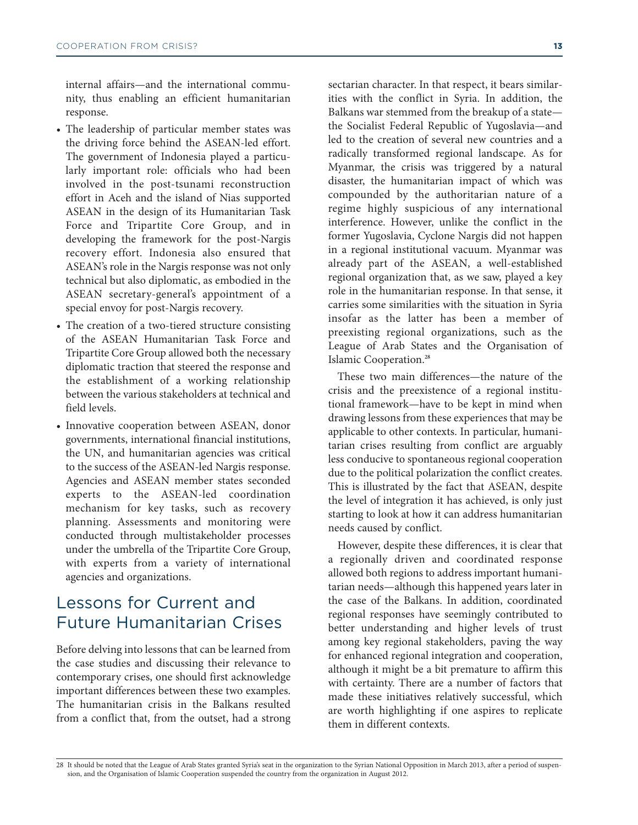internal affairs—and the international community, thus enabling an efficient humanitarian response.

- The leadership of particular member states was the driving force behind the ASEAN-led effort. The government of Indonesia played a particularly important role: officials who had been involved in the post-tsunami reconstruction effort in Aceh and the island of Nias supported ASEAN in the design of its Humanitarian Task Force and Tripartite Core Group, and in developing the framework for the post-Nargis recovery effort. Indonesia also ensured that ASEAN's role in the Nargis response was not only technical but also diplomatic, as embodied in the ASEAN secretary-general's appointment of a special envoy for post-Nargis recovery.
- The creation of a two-tiered structure consisting of the ASEAN Humanitarian Task Force and Tripartite Core Group allowed both the necessary diplomatic traction that steered the response and the establishment of a working relationship between the various stakeholders at technical and field levels.
- Innovative cooperation between ASEAN, donor governments, international financial institutions, the UN, and humanitarian agencies was critical to the success of the ASEAN-led Nargis response. Agencies and ASEAN member states seconded experts to the ASEAN-led coordination mechanism for key tasks, such as recovery planning. Assessments and monitoring were conducted through multistakeholder processes under the umbrella of the Tripartite Core Group, with experts from a variety of international agencies and organizations.

# Lessons for Current and Future Humanitarian Crises

Before delving into lessons that can be learned from the case studies and discussing their relevance to contemporary crises, one should first acknowledge important differences between these two examples. The humanitarian crisis in the Balkans resulted from a conflict that, from the outset, had a strong sectarian character. In that respect, it bears similarities with the conflict in Syria. In addition, the Balkans war stemmed from the breakup of a state the Socialist Federal Republic of Yugoslavia—and led to the creation of several new countries and a radically transformed regional landscape. As for Myanmar, the crisis was triggered by a natural disaster, the humanitarian impact of which was compounded by the authoritarian nature of a regime highly suspicious of any international interference. However, unlike the conflict in the former Yugoslavia, Cyclone Nargis did not happen in a regional institutional vacuum. Myanmar was already part of the ASEAN, a well-established regional organization that, as we saw, played a key role in the humanitarian response. In that sense, it carries some similarities with the situation in Syria insofar as the latter has been a member of preexisting regional organizations, such as the League of Arab States and the Organisation of Islamic Cooperation. **28**

These two main differences—the nature of the crisis and the preexistence of a regional institutional framework—have to be kept in mind when drawing lessons from these experiences that may be applicable to other contexts. In particular, humanitarian crises resulting from conflict are arguably less conducive to spontaneous regional cooperation due to the political polarization the conflict creates. This is illustrated by the fact that ASEAN, despite the level of integration it has achieved, is only just starting to look at how it can address humanitarian needs caused by conflict.

However, despite these differences, it is clear that a regionally driven and coordinated response allowed both regions to address important humanitarian needs—although this happened years later in the case of the Balkans. In addition, coordinated regional responses have seemingly contributed to better understanding and higher levels of trust among key regional stakeholders, paving the way for enhanced regional integration and cooperation, although it might be a bit premature to affirm this with certainty. There are a number of factors that made these initiatives relatively successful, which are worth highlighting if one aspires to replicate them in different contexts.

<sup>28</sup> It should be noted that the League of Arab States granted Syria's seat in the organization to the Syrian National Opposition in March 2013, after a period of suspension, and the Organisation of Islamic Cooperation suspended the country from the organization in August 2012.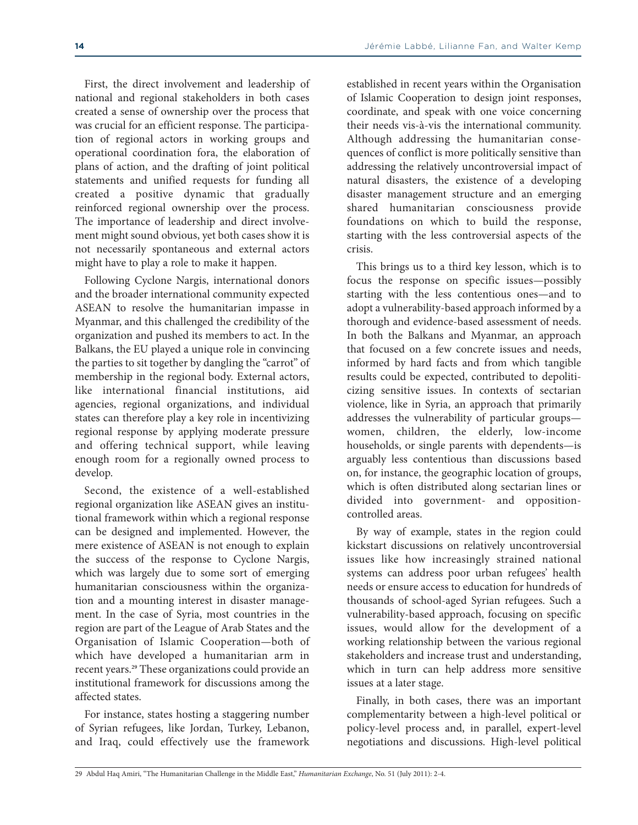First, the direct involvement and leadership of national and regional stakeholders in both cases created a sense of ownership over the process that was crucial for an efficient response. The participation of regional actors in working groups and operational coordination fora, the elaboration of plans of action, and the drafting of joint political statements and unified requests for funding all created a positive dynamic that gradually reinforced regional ownership over the process. The importance of leadership and direct involvement might sound obvious, yet both cases show it is not necessarily spontaneous and external actors might have to play a role to make it happen.

Following Cyclone Nargis, international donors and the broader international community expected ASEAN to resolve the humanitarian impasse in Myanmar, and this challenged the credibility of the organization and pushed its members to act. In the Balkans, the EU played a unique role in convincing the parties to sit together by dangling the "carrot" of membership in the regional body. External actors, like international financial institutions, aid agencies, regional organizations, and individual states can therefore play a key role in incentivizing regional response by applying moderate pressure and offering technical support, while leaving enough room for a regionally owned process to develop.

Second, the existence of a well-established regional organization like ASEAN gives an institutional framework within which a regional response can be designed and implemented. However, the mere existence of ASEAN is not enough to explain the success of the response to Cyclone Nargis, which was largely due to some sort of emerging humanitarian consciousness within the organization and a mounting interest in disaster management. In the case of Syria, most countries in the region are part of the League of Arab States and the Organisation of Islamic Cooperation—both of which have developed a humanitarian arm in recent years. **<sup>29</sup>** These organizations could provide an institutional framework for discussions among the affected states.

For instance, states hosting a staggering number of Syrian refugees, like Jordan, Turkey, Lebanon, and Iraq, could effectively use the framework established in recent years within the Organisation of Islamic Cooperation to design joint responses, coordinate, and speak with one voice concerning their needs vis-à-vis the international community. Although addressing the humanitarian consequences of conflict is more politically sensitive than addressing the relatively uncontroversial impact of natural disasters, the existence of a developing disaster management structure and an emerging shared humanitarian consciousness provide foundations on which to build the response, starting with the less controversial aspects of the crisis.

This brings us to a third key lesson, which is to focus the response on specific issues—possibly starting with the less contentious ones—and to adopt a vulnerability-based approach informed by a thorough and evidence-based assessment of needs. In both the Balkans and Myanmar, an approach that focused on a few concrete issues and needs, informed by hard facts and from which tangible results could be expected, contributed to depoliticizing sensitive issues. In contexts of sectarian violence, like in Syria, an approach that primarily addresses the vulnerability of particular groups women, children, the elderly, low-income households, or single parents with dependents—is arguably less contentious than discussions based on, for instance, the geographic location of groups, which is often distributed along sectarian lines or divided into government- and oppositioncontrolled areas.

By way of example, states in the region could kickstart discussions on relatively uncontroversial issues like how increasingly strained national systems can address poor urban refugees' health needs or ensure access to education for hundreds of thousands of school-aged Syrian refugees. Such a vulnerability-based approach, focusing on specific issues, would allow for the development of a working relationship between the various regional stakeholders and increase trust and understanding, which in turn can help address more sensitive issues at a later stage.

Finally, in both cases, there was an important complementarity between a high-level political or policy-level process and, in parallel, expert-level negotiations and discussions. High-level political

<sup>29</sup> Abdul Haq Amiri, "The Humanitarian Challenge in the Middle East," *Humanitarian Exchange*, No. 51 (July 2011): 2-4.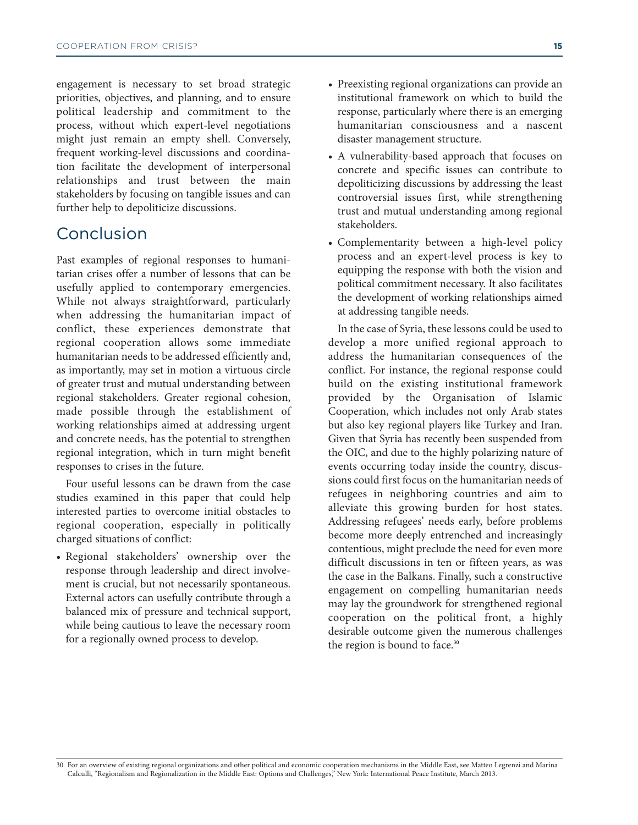engagement is necessary to set broad strategic priorities, objectives, and planning, and to ensure political leadership and commitment to the process, without which expert-level negotiations might just remain an empty shell. Conversely, frequent working-level discussions and coordination facilitate the development of interpersonal relationships and trust between the main stakeholders by focusing on tangible issues and can further help to depoliticize discussions.

# Conclusion

Past examples of regional responses to humanitarian crises offer a number of lessons that can be usefully applied to contemporary emergencies. While not always straightforward, particularly when addressing the humanitarian impact of conflict, these experiences demonstrate that regional cooperation allows some immediate humanitarian needs to be addressed efficiently and, as importantly, may set in motion a virtuous circle of greater trust and mutual understanding between regional stakeholders. Greater regional cohesion, made possible through the establishment of working relationships aimed at addressing urgent and concrete needs, has the potential to strengthen regional integration, which in turn might benefit responses to crises in the future.

Four useful lessons can be drawn from the case studies examined in this paper that could help interested parties to overcome initial obstacles to regional cooperation, especially in politically charged situations of conflict:

• Regional stakeholders' ownership over the response through leadership and direct involvement is crucial, but not necessarily spontaneous. External actors can usefully contribute through a balanced mix of pressure and technical support, while being cautious to leave the necessary room for a regionally owned process to develop.

- Preexisting regional organizations can provide an institutional framework on which to build the response, particularly where there is an emerging humanitarian consciousness and a nascent disaster management structure.
- A vulnerability-based approach that focuses on concrete and specific issues can contribute to depoliticizing discussions by addressing the least controversial issues first, while strengthening trust and mutual understanding among regional stakeholders.
- Complementarity between a high-level policy process and an expert-level process is key to equipping the response with both the vision and political commitment necessary. It also facilitates the development of working relationships aimed at addressing tangible needs.

In the case of Syria, these lessons could be used to develop a more unified regional approach to address the humanitarian consequences of the conflict. For instance, the regional response could build on the existing institutional framework provided by the Organisation of Islamic Cooperation, which includes not only Arab states but also key regional players like Turkey and Iran. Given that Syria has recently been suspended from the OIC, and due to the highly polarizing nature of events occurring today inside the country, discussions could first focus on the humanitarian needs of refugees in neighboring countries and aim to alleviate this growing burden for host states. Addressing refugees' needs early, before problems become more deeply entrenched and increasingly contentious, might preclude the need for even more difficult discussions in ten or fifteen years, as was the case in the Balkans. Finally, such a constructive engagement on compelling humanitarian needs may lay the groundwork for strengthened regional cooperation on the political front, a highly desirable outcome given the numerous challenges the region is bound to face. **30**

<sup>30</sup> For an overview of existing regional organizations and other political and economic cooperation mechanisms in the Middle East, see Matteo Legrenzi and Marina Calculli, "Regionalism and Regionalization in the Middle East: Options and Challenges," New York: International Peace Institute, March 2013.